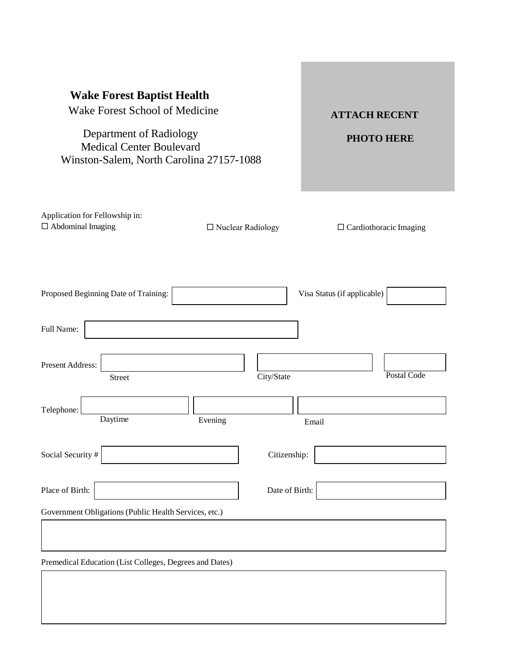| <b>Wake Forest Baptist Health</b><br>Wake Forest School of Medicine<br>Department of Radiology<br><b>Medical Center Boulevard</b><br>Winston-Salem, North Carolina 27157-1088 |                     | <b>ATTACH RECENT</b><br><b>PHOTO HERE</b> |
|-------------------------------------------------------------------------------------------------------------------------------------------------------------------------------|---------------------|-------------------------------------------|
| Application for Fellowship in:<br>$\Box$ Abdominal Imaging                                                                                                                    | □ Nuclear Radiology | $\Box$ Cardiothoracic Imaging             |
| Proposed Beginning Date of Training:                                                                                                                                          |                     | Visa Status (if applicable)               |
| Full Name:                                                                                                                                                                    |                     |                                           |
| Present Address:<br><b>Street</b>                                                                                                                                             | City/State          | Postal Code                               |
| Telephone:<br>Daytime                                                                                                                                                         | Evening             | Email                                     |
| Social Security #                                                                                                                                                             | Citizenship:        |                                           |
| Place of Birth:                                                                                                                                                               | Date of Birth:      |                                           |
| Government Obligations (Public Health Services, etc.)                                                                                                                         |                     |                                           |
| Premedical Education (List Colleges, Degrees and Dates)                                                                                                                       |                     |                                           |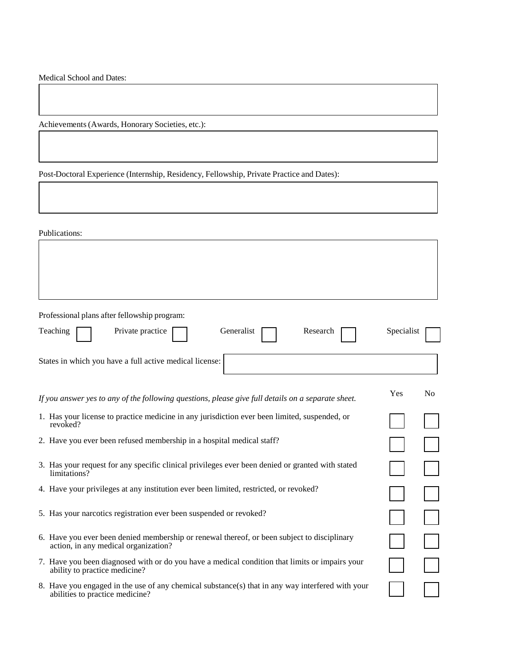Medical School and Dates:

Achievements (Awards, Honorary Societies, etc.):

Post-Doctoral Experience (Internship, Residency, Fellowship, Private Practice and Dates):

Publications:

| Professional plans after fellowship program:                                                                                        |            |                |
|-------------------------------------------------------------------------------------------------------------------------------------|------------|----------------|
| Teaching<br>Private practice<br>Generalist<br>Research                                                                              | Specialist |                |
| States in which you have a full active medical license:                                                                             |            |                |
| If you answer yes to any of the following questions, please give full details on a separate sheet.                                  | Yes        | N <sub>0</sub> |
| 1. Has your license to practice medicine in any jurisdiction ever been limited, suspended, or<br>revoked?                           |            |                |
| 2. Have you ever been refused membership in a hospital medical staff?                                                               |            |                |
| 3. Has your request for any specific clinical privileges ever been denied or granted with stated<br>limitations?                    |            |                |
| 4. Have your privileges at any institution ever been limited, restricted, or revoked?                                               |            |                |
| 5. Has your narcotics registration ever been suspended or revoked?                                                                  |            |                |
| 6. Have you ever been denied membership or renewal thereof, or been subject to disciplinary<br>action, in any medical organization? |            |                |
| 7. Have you been diagnosed with or do you have a medical condition that limits or impairs your<br>ability to practice medicine?     |            |                |
| 8. Have you engaged in the use of any chemical substance(s) that in any way interfered with your<br>abilities to practice medicine? |            |                |